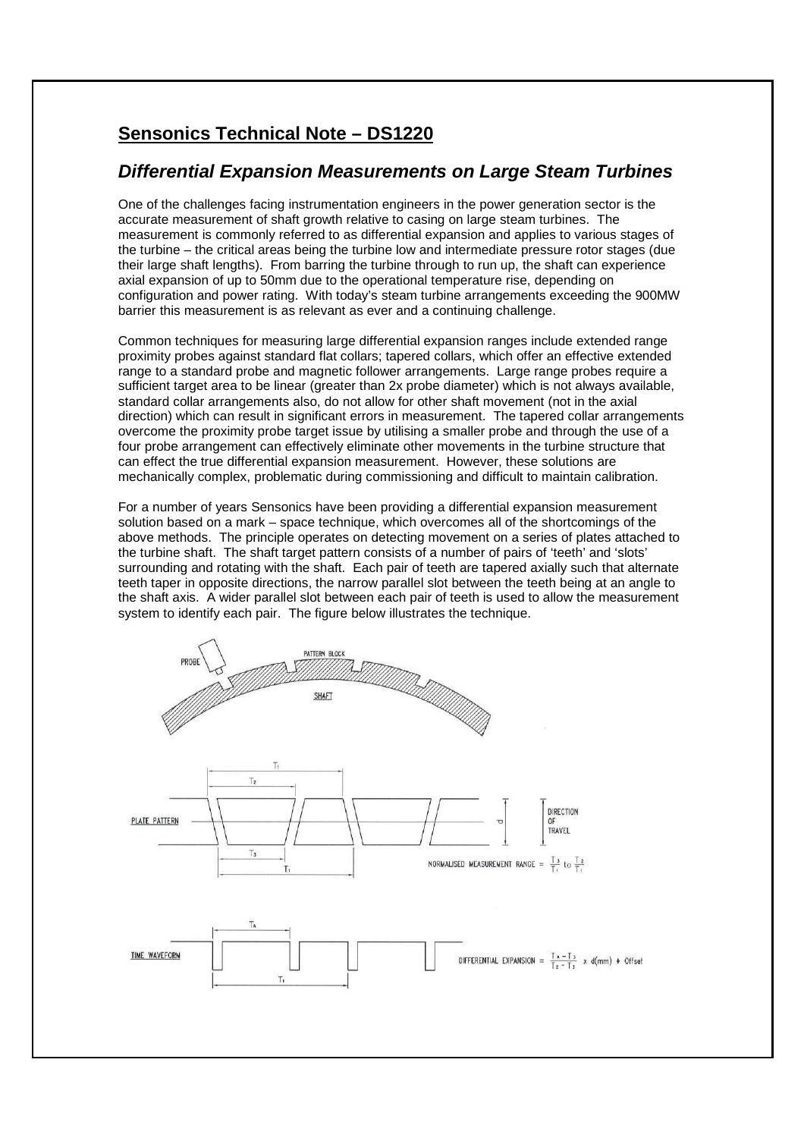## **Sensonics Technical Note – DS1220**

## **Differential Expansion Measurements on Large Steam Turbines**

One of the challenges facing instrumentation engineers in the power generation sector is the accurate measurement of shaft growth relative to casing on large steam turbines. The measurement is commonly referred to as differential expansion and applies to various stages of the turbine – the critical areas being the turbine low and intermediate pressure rotor stages (due their large shaft lengths). From barring the turbine through to run up, the shaft can experience axial expansion of up to 50mm due to the operational temperature rise, depending on configuration and power rating. With today's steam turbine arrangements exceeding the 900MW barrier this measurement is as relevant as ever and a continuing challenge.

Common techniques for measuring large differential expansion ranges include extended range proximity probes against standard flat collars; tapered collars, which offer an effective extended range to a standard probe and magnetic follower arrangements. Large range probes require a sufficient target area to be linear (greater than 2x probe diameter) which is not always available, standard collar arrangements also, do not allow for other shaft movement (not in the axial direction) which can result in significant errors in measurement. The tapered collar arrangements overcome the proximity probe target issue by utilising a smaller probe and through the use of a four probe arrangement can effectively eliminate other movements in the turbine structure that can effect the true differential expansion measurement. However, these solutions are mechanically complex, problematic during commissioning and difficult to maintain calibration.

For a number of years Sensonics have been providing a differential expansion measurement solution based on a mark – space technique, which overcomes all of the shortcomings of the above methods. The principle operates on detecting movement on a series of plates attached to the turbine shaft. The shaft target pattern consists of a number of pairs of 'teeth' and 'slots' surrounding and rotating with the shaft. Each pair of teeth are tapered axially such that alternate teeth taper in opposite directions, the narrow parallel slot between the teeth being at an angle to the shaft axis. A wider parallel slot between each pair of teeth is used to allow the measurement system to identify each pair. The figure below illustrates the technique.

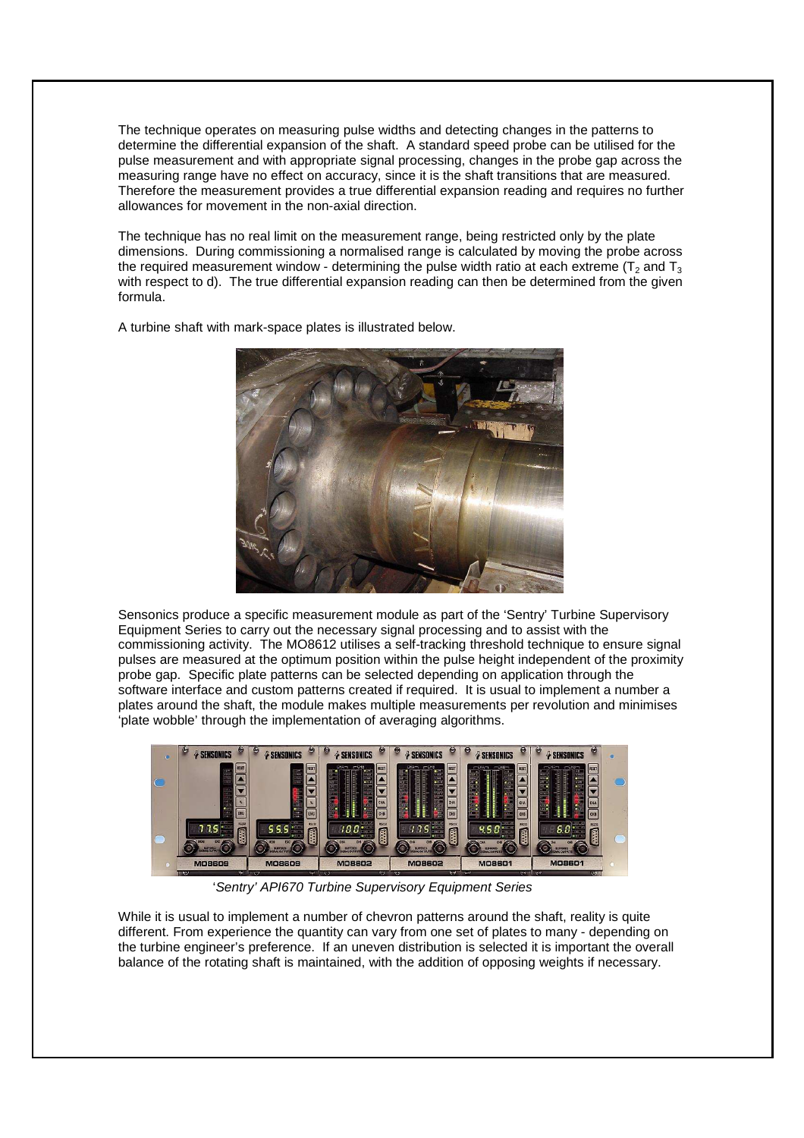The technique operates on measuring pulse widths and detecting changes in the patterns to determine the differential expansion of the shaft. A standard speed probe can be utilised for the pulse measurement and with appropriate signal processing, changes in the probe gap across the measuring range have no effect on accuracy, since it is the shaft transitions that are measured. Therefore the measurement provides a true differential expansion reading and requires no further allowances for movement in the non-axial direction.

The technique has no real limit on the measurement range, being restricted only by the plate dimensions. During commissioning a normalised range is calculated by moving the probe across the required measurement window - determining the pulse width ratio at each extreme ( $T_2$  and  $T_3$ ) with respect to d). The true differential expansion reading can then be determined from the given formula.





Sensonics produce a specific measurement module as part of the 'Sentry' Turbine Supervisory Equipment Series to carry out the necessary signal processing and to assist with the commissioning activity. The MO8612 utilises a self-tracking threshold technique to ensure signal pulses are measured at the optimum position within the pulse height independent of the proximity probe gap. Specific plate patterns can be selected depending on application through the software interface and custom patterns created if required. It is usual to implement a number a plates around the shaft, the module makes multiple measurements per revolution and minimises 'plate wobble' through the implementation of averaging algorithms.



'Sentry' API670 Turbine Supervisory Equipment Series

While it is usual to implement a number of chevron patterns around the shaft, reality is quite different. From experience the quantity can vary from one set of plates to many - depending on the turbine engineer's preference. If an uneven distribution is selected it is important the overall balance of the rotating shaft is maintained, with the addition of opposing weights if necessary.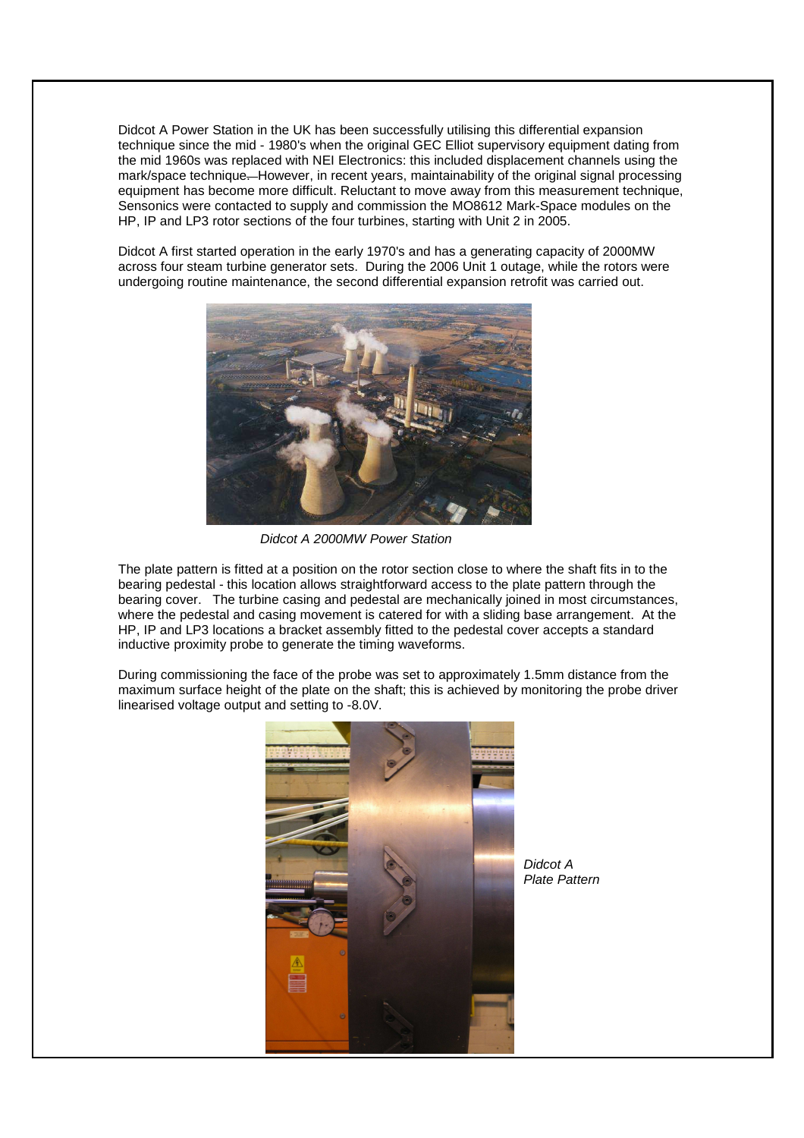Didcot A Power Station in the UK has been successfully utilising this differential expansion technique since the mid - 1980's when the original GEC Elliot supervisory equipment dating from the mid 1960s was replaced with NEI Electronics: this included displacement channels using the mark/space technique. However, in recent years, maintainability of the original signal processing equipment has become more difficult. Reluctant to move away from this measurement technique, Sensonics were contacted to supply and commission the MO8612 Mark-Space modules on the HP, IP and LP3 rotor sections of the four turbines, starting with Unit 2 in 2005.

Didcot A first started operation in the early 1970's and has a generating capacity of 2000MW across four steam turbine generator sets. During the 2006 Unit 1 outage, while the rotors were undergoing routine maintenance, the second differential expansion retrofit was carried out.



Didcot A 2000MW Power Station

The plate pattern is fitted at a position on the rotor section close to where the shaft fits in to the bearing pedestal - this location allows straightforward access to the plate pattern through the bearing cover. The turbine casing and pedestal are mechanically joined in most circumstances, where the pedestal and casing movement is catered for with a sliding base arrangement. At the HP, IP and LP3 locations a bracket assembly fitted to the pedestal cover accepts a standard inductive proximity probe to generate the timing waveforms.

During commissioning the face of the probe was set to approximately 1.5mm distance from the maximum surface height of the plate on the shaft; this is achieved by monitoring the probe driver linearised voltage output and setting to -8.0V.



Didcot A Plate Pattern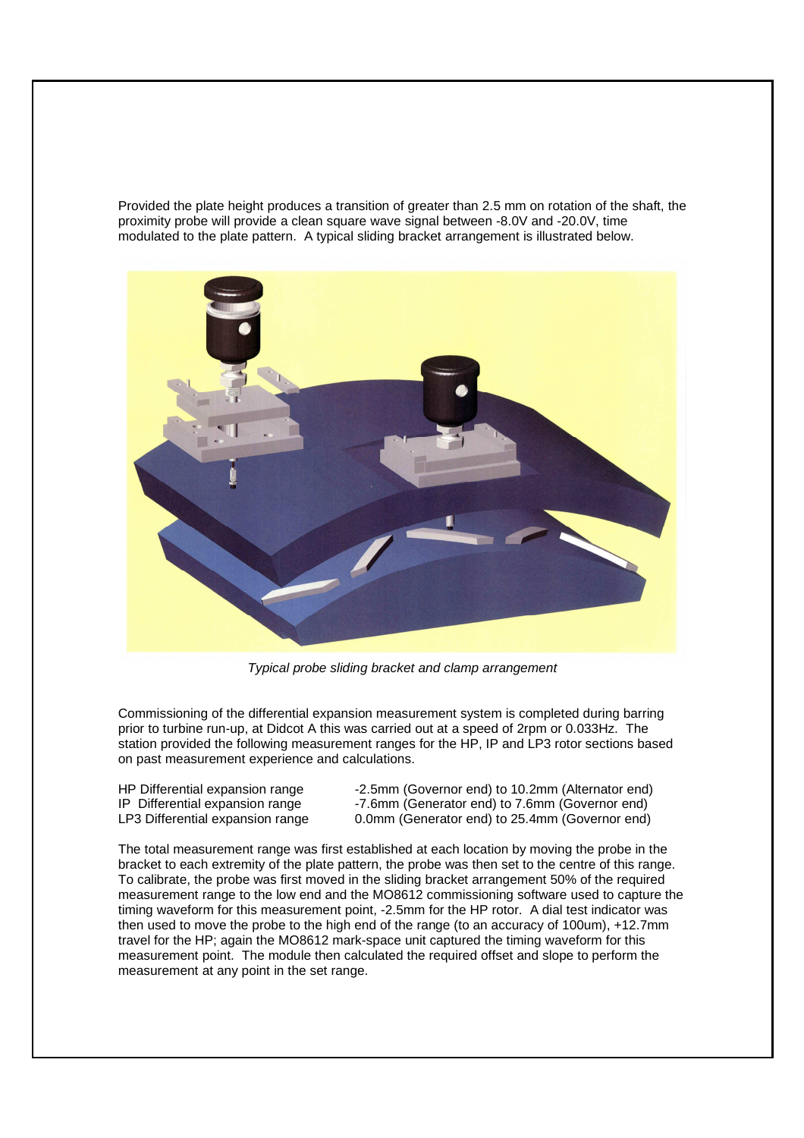Provided the plate height produces a transition of greater than 2.5 mm on rotation of the shaft, the proximity probe will provide a clean square wave signal between -8.0V and -20.0V, time modulated to the plate pattern. A typical sliding bracket arrangement is illustrated below.



Typical probe sliding bracket and clamp arrangement

Commissioning of the differential expansion measurement system is completed during barring prior to turbine run-up, at Didcot A this was carried out at a speed of 2rpm or 0.033Hz. The station provided the following measurement ranges for the HP, IP and LP3 rotor sections based on past measurement experience and calculations.

HP Differential expansion range -2.5mm (Governor end) to 10.2mm (Alternator end) IP Differential expansion range -7.6mm (Generator end) to 7.6mm (Governor end) LP3 Differential expansion range 0.0mm (Generator end) to 25.4mm (Governor end)

The total measurement range was first established at each location by moving the probe in the bracket to each extremity of the plate pattern, the probe was then set to the centre of this range. To calibrate, the probe was first moved in the sliding bracket arrangement 50% of the required measurement range to the low end and the MO8612 commissioning software used to capture the timing waveform for this measurement point, -2.5mm for the HP rotor. A dial test indicator was then used to move the probe to the high end of the range (to an accuracy of 100um), +12.7mm travel for the HP; again the MO8612 mark-space unit captured the timing waveform for this measurement point. The module then calculated the required offset and slope to perform the measurement at any point in the set range.